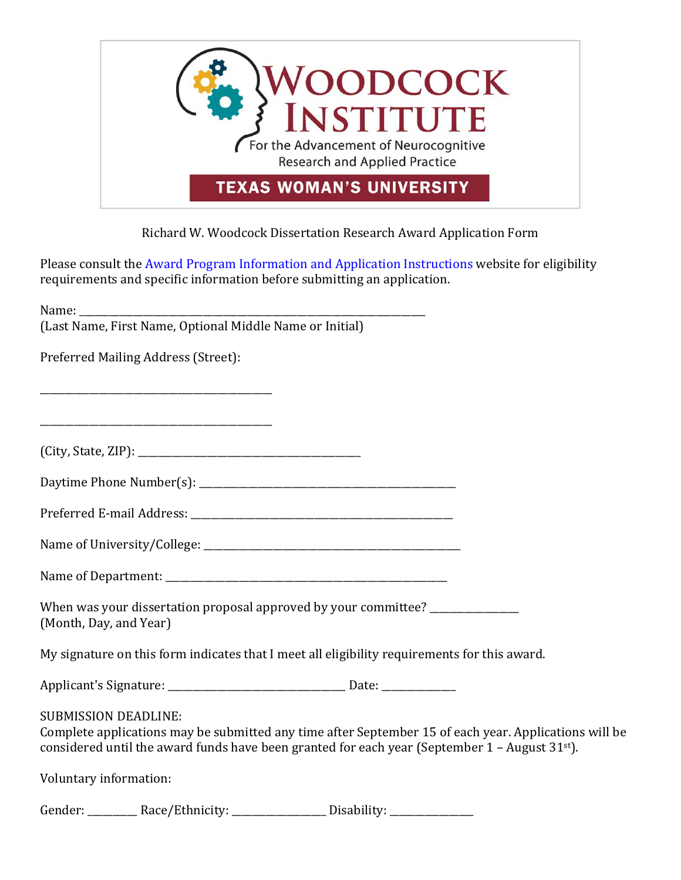

## Richard W. Woodcock Dissertation Research Award Application Form

Please consult the Award Program Information and Application Instructions website for eligibility requirements and specific information before submitting an application.

|                             | Preferred Mailing Address (Street):                                                                                  |                                                                                               |                                                                                                       |
|-----------------------------|----------------------------------------------------------------------------------------------------------------------|-----------------------------------------------------------------------------------------------|-------------------------------------------------------------------------------------------------------|
|                             | <u> 1980 - Jan James James Barnett, amerikan bizko bat da bat da bat da bat da bat da bat da bat da bat da bat d</u> |                                                                                               |                                                                                                       |
|                             |                                                                                                                      |                                                                                               |                                                                                                       |
|                             |                                                                                                                      |                                                                                               |                                                                                                       |
|                             |                                                                                                                      |                                                                                               |                                                                                                       |
|                             |                                                                                                                      |                                                                                               |                                                                                                       |
|                             |                                                                                                                      |                                                                                               |                                                                                                       |
| (Month, Day, and Year)      |                                                                                                                      | When was your dissertation proposal approved by your committee? _______________               |                                                                                                       |
|                             |                                                                                                                      | My signature on this form indicates that I meet all eligibility requirements for this award.  |                                                                                                       |
|                             |                                                                                                                      |                                                                                               |                                                                                                       |
| <b>SUBMISSION DEADLINE:</b> |                                                                                                                      | considered until the award funds have been granted for each year (September 1 - August 31st). | Complete applications may be submitted any time after September 15 of each year. Applications will be |
| Voluntary information:      |                                                                                                                      |                                                                                               |                                                                                                       |
|                             |                                                                                                                      | Gender: ___________ Race/Ethnicity: __________________ Disability: _____________              |                                                                                                       |